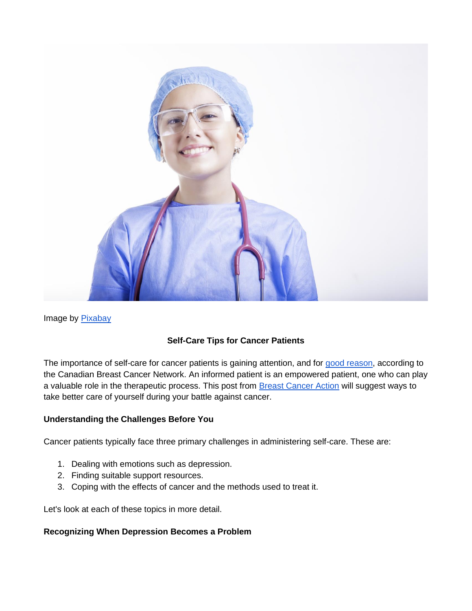

Image by [Pixabay](https://pixabay.com/en/nurse-medicine-doctor-hospital-2019420/)

### **Self-Care Tips for Cancer Patients**

The importance of self-care for cancer patients is gaining attention, and for [good reason,](https://cbcn.ca/en/blog/our-stories/self-care) according to the Canadian Breast Cancer Network. An informed patient is an empowered patient, one who can play a valuable role in the therapeutic process. This post from **Breast Cancer Action** will suggest ways to take better care of yourself during your battle against cancer.

### **Understanding the Challenges Before You**

Cancer patients typically face three primary challenges in administering self-care. These are:

- 1. Dealing with emotions such as depression.
- 2. Finding suitable support resources.
- 3. Coping with the effects of cancer and the methods used to treat it.

Let's look at each of these topics in more detail.

### **Recognizing When Depression Becomes a Problem**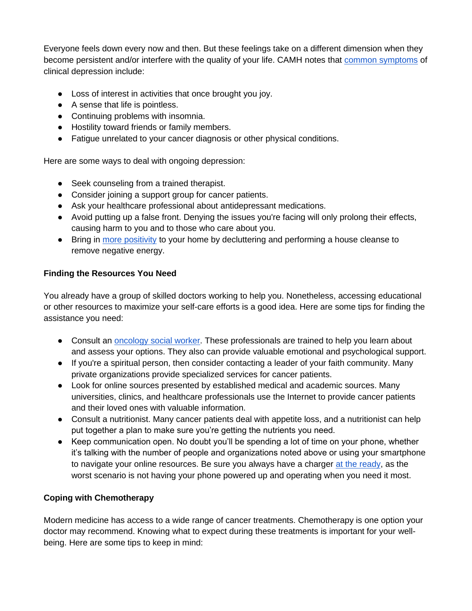Everyone feels down every now and then. But these feelings take on a different dimension when they become persistent and/or interfere with the quality of your life. CAMH notes that [common symptoms](https://www.camh.ca/en/health-info/mental-illness-and-addiction-index/depression) of clinical depression include:

- Loss of interest in activities that once brought you joy.
- A sense that life is pointless.
- Continuing problems with insomnia.
- Hostility toward friends or family members.
- Fatigue unrelated to your cancer diagnosis or other physical conditions.

Here are some ways to deal with ongoing depression:

- Seek counseling from a trained therapist.
- Consider joining a support group for cancer patients.
- Ask your healthcare professional about antidepressant medications.
- Avoid putting up a false front. Denying the issues you're facing will only prolong their effects, causing harm to you and to those who care about you.
- Bring in [more positivity](https://www.redfin.com/blog/clearing-bad-energy-from-your-home/) to your home by decluttering and performing a house cleanse to remove negative energy.

## **Finding the Resources You Need**

You already have a group of skilled doctors working to help you. Nonetheless, accessing educational or other resources to maximize your self-care efforts is a good idea. Here are some tips for finding the assistance you need:

- Consult an [oncology social worker.](https://csl.cancer.ca/en/Search?_ga=2.220078297.1508318748.1636999483-583843710.1636999483&Terms=oncology%20social%20worker&Location=&Latitude=null&Longitude=null&Proximity=25&ProximityProvince=null&ProvinceOnly=null&MapBounds=&SortBy=0&ResultsPerPage=10&PageIndex=0&CancerType=&TargetGroup=&Fee=&language=&ServiceType=&ServicesOffered=&Affiliation=) These professionals are trained to help you learn about and assess your options. They also can provide valuable emotional and psychological support.
- If you're a spiritual person, then consider contacting a leader of your faith community. Many private organizations provide specialized services for cancer patients.
- Look for online sources presented by established medical and academic sources. Many universities, clinics, and healthcare professionals use the Internet to provide cancer patients and their loved ones with valuable information.
- Consult a nutritionist. Many cancer patients deal with appetite loss, and a nutritionist can help put together a plan to make sure you're getting the nutrients you need.
- Keep communication open. No doubt you'll be spending a lot of time on your phone, whether it's talking with the number of people and organizations noted above or using your smartphone to navigate your online resources. Be sure you always have a charger [at the ready,](https://www.verizon.com/products/wireless-chargers/) as the worst scenario is not having your phone powered up and operating when you need it most.

# **Coping with Chemotherapy**

Modern medicine has access to a wide range of cancer treatments. Chemotherapy is one option your doctor may recommend. Knowing what to expect during these treatments is important for your wellbeing. Here are some tips to keep in mind: